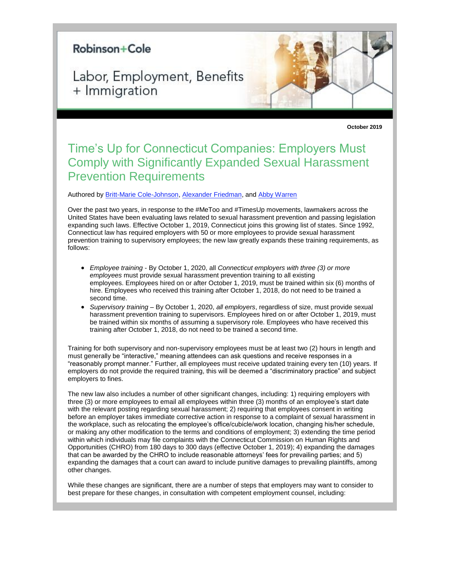## Robinson+Cole

Labor, Employment, Benefits + Immigration

**October 2019**

## Time's Up for Connecticut Companies: Employers Must Comply with Significantly Expanded Sexual Harassment Prevention Requirements

Authored by [Britt-Marie Cole-Johnson,](https://protect-us.mimecast.com/s/Pd9jC0RMnBt2PjMXi2iuad?domain=rc.com) [Alexander Friedman,](https://protect-us.mimecast.com/s/AURICgJyqPtlQ8m1h3Fv3r?domain=rc.com) an[d Abby Warren](https://protect-us.mimecast.com/s/ru2NCjRBwPtjNg34S1TJAZ?domain=rc.com)

Over the past two years, in response to the #MeToo and #TimesUp movements, lawmakers across the United States have been evaluating laws related to sexual harassment prevention and passing legislation expanding such laws. Effective October 1, 2019, Connecticut joins this growing list of states. Since 1992, Connecticut law has required employers with 50 or more employees to provide sexual harassment prevention training to supervisory employees; the new law greatly expands these training requirements, as follows:

- *Employee training* By October 1, 2020, all *Connecticut employers with three (3) or more employees* must provide sexual harassment prevention training to all existing employees. Employees hired on or after October 1, 2019, must be trained within six (6) months of hire. Employees who received this training after October 1, 2018, do not need to be trained a second time.
- *Supervisory training* By October 1, 2020, *all employers*, regardless of size, must provide sexual harassment prevention training to supervisors. Employees hired on or after October 1, 2019, must be trained within six months of assuming a supervisory role. Employees who have received this training after October 1, 2018, do not need to be trained a second time.

Training for both supervisory and non-supervisory employees must be at least two (2) hours in length and must generally be "interactive," meaning attendees can ask questions and receive responses in a "reasonably prompt manner." Further, all employees must receive updated training every ten (10) years. If employers do not provide the required training, this will be deemed a "discriminatory practice" and subject employers to fines.

The new law also includes a number of other significant changes, including: 1) requiring employers with three (3) or more employees to email all employees within three (3) months of an employee's start date with the relevant posting regarding sexual harassment; 2) requiring that employees consent in writing before an employer takes immediate corrective action in response to a complaint of sexual harassment in the workplace, such as relocating the employee's office/cubicle/work location, changing his/her schedule, or making any other modification to the terms and conditions of employment; 3) extending the time period within which individuals may file complaints with the Connecticut Commission on Human Rights and Opportunities (CHRO) from 180 days to 300 days (effective October 1, 2019); 4) expanding the damages that can be awarded by the CHRO to include reasonable attorneys' fees for prevailing parties; and 5) expanding the damages that a court can award to include punitive damages to prevailing plaintiffs, among other changes.

While these changes are significant, there are a number of steps that employers may want to consider to best prepare for these changes, in consultation with competent employment counsel, including: